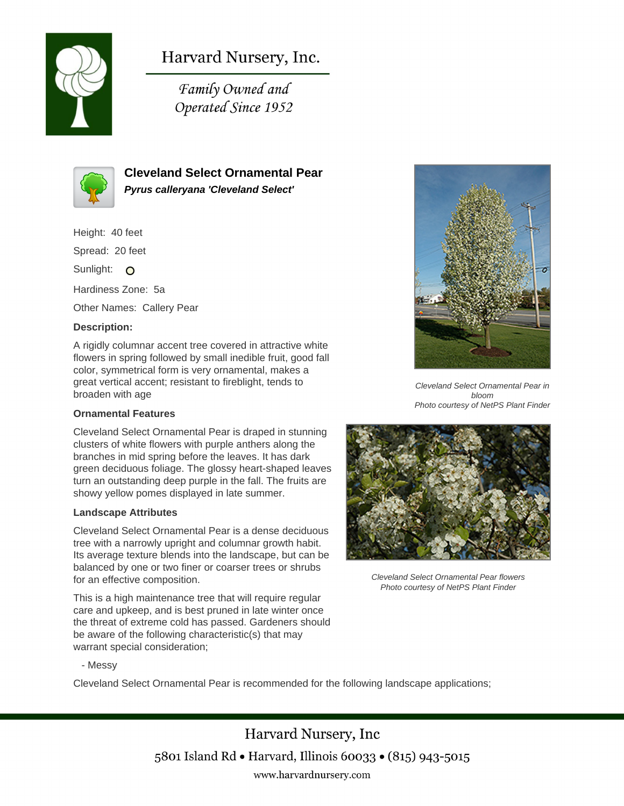

# Harvard Nursery, Inc.

Family Owned and Operated Since 1952



# **Cleveland Select Ornamental Pear Pyrus calleryana 'Cleveland Select'**

Height: 40 feet Spread: 20 feet Sunlight: O Hardiness Zone: 5a Other Names: Callery Pear **Description:**

A rigidly columnar accent tree covered in attractive white flowers in spring followed by small inedible fruit, good fall color, symmetrical form is very ornamental, makes a great vertical accent; resistant to fireblight, tends to broaden with age

## **Ornamental Features**

Cleveland Select Ornamental Pear is draped in stunning clusters of white flowers with purple anthers along the branches in mid spring before the leaves. It has dark green deciduous foliage. The glossy heart-shaped leaves turn an outstanding deep purple in the fall. The fruits are showy yellow pomes displayed in late summer.

#### **Landscape Attributes**

Cleveland Select Ornamental Pear is a dense deciduous tree with a narrowly upright and columnar growth habit. Its average texture blends into the landscape, but can be balanced by one or two finer or coarser trees or shrubs for an effective composition.

This is a high maintenance tree that will require regular care and upkeep, and is best pruned in late winter once the threat of extreme cold has passed. Gardeners should be aware of the following characteristic(s) that may warrant special consideration;



Cleveland Select Ornamental Pear in bloom Photo courtesy of NetPS Plant Finder



Cleveland Select Ornamental Pear flowers Photo courtesy of NetPS Plant Finder

- Messy

Cleveland Select Ornamental Pear is recommended for the following landscape applications;

Harvard Nursery, Inc 5801 Island Rd • Harvard, Illinois 60033 • (815) 943-5015 www.harvardnursery.com